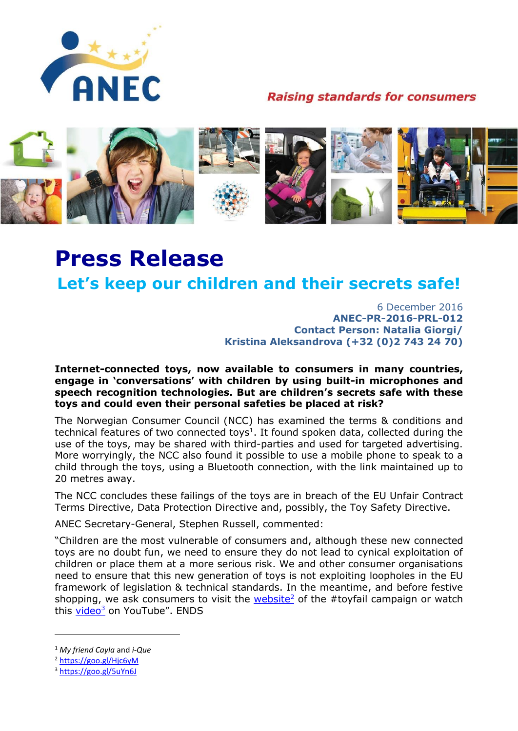

**Raising standards for consumers** 



# **Press Release**

## **Let's keep our children and their secrets safe!**

6 December 2016 **ANEC-PR-2016-PRL-012 Contact Person: Natalia Giorgi/ Kristina Aleksandrova (+32 (0)2 743 24 70)**

### **Internet-connected toys, now available to consumers in many countries, engage in 'conversations' with children by using built-in microphones and speech recognition technologies. But are children's secrets safe with these toys and could even their personal safeties be placed at risk?**

The Norwegian Consumer Council (NCC) has examined the terms & conditions and technical features of two connected toys<sup>1</sup>. It found spoken data, collected during the use of the toys, may be shared with third-parties and used for targeted advertising. More worryingly, the NCC also found it possible to use a mobile phone to speak to a child through the toys, using a Bluetooth connection, with the link maintained up to 20 metres away.

The NCC concludes these failings of the toys are in breach of the EU Unfair Contract Terms Directive, Data Protection Directive and, possibly, the Toy Safety Directive.

ANEC Secretary-General, Stephen Russell, commented:

"Children are the most vulnerable of consumers and, although these new connected toys are no doubt fun, we need to ensure they do not lead to cynical exploitation of children or place them at a more serious risk. We and other consumer organisations need to ensure that this new generation of toys is not exploiting loopholes in the EU framework of legislation & technical standards. In the meantime, and before festive shopping, we ask consumers to visit the  $website<sup>2</sup>$  of the #toyfail campaign or watch this *video<sup>3</sup>* on YouTube". ENDS

<sup>2</sup> <https://goo.gl/Hjc6yM>

1

<sup>1</sup> *My friend Cayla* and *i-Que*

<sup>3</sup> <https://goo.gl/5uYn6J>